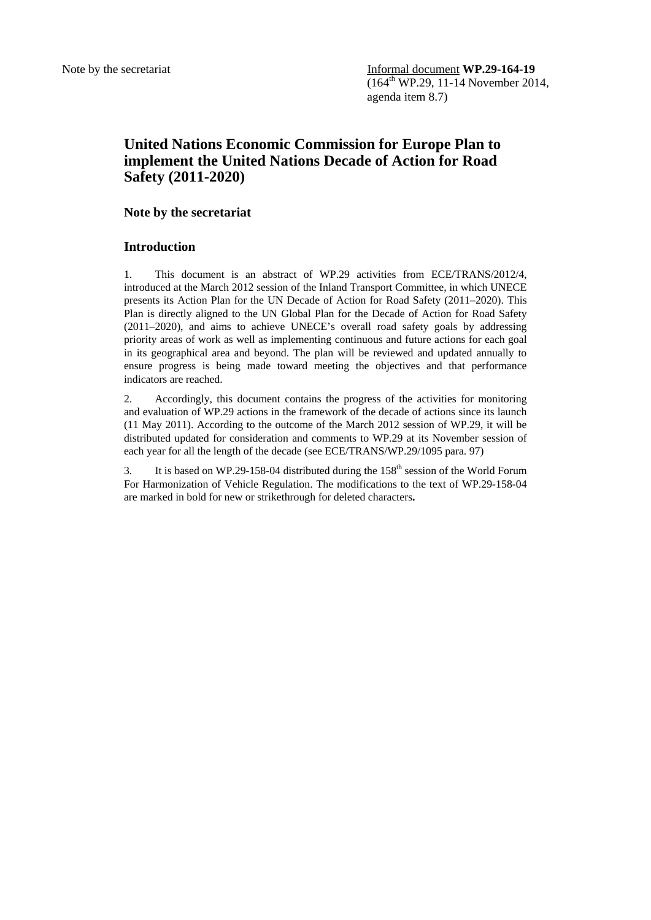## **United Nations Economic Commission for Europe Plan to implement the United Nations Decade of Action for Road Safety (2011-2020)**

## **Note by the secretariat**

## **Introduction**

1. This document is an abstract of WP.29 activities from ECE/TRANS/2012/4, introduced at the March 2012 session of the Inland Transport Committee, in which UNECE presents its Action Plan for the UN Decade of Action for Road Safety (2011–2020). This Plan is directly aligned to the UN Global Plan for the Decade of Action for Road Safety (2011–2020), and aims to achieve UNECE's overall road safety goals by addressing priority areas of work as well as implementing continuous and future actions for each goal in its geographical area and beyond. The plan will be reviewed and updated annually to ensure progress is being made toward meeting the objectives and that performance indicators are reached.

2. Accordingly, this document contains the progress of the activities for monitoring and evaluation of WP.29 actions in the framework of the decade of actions since its launch (11 May 2011). According to the outcome of the March 2012 session of WP.29, it will be distributed updated for consideration and comments to WP.29 at its November session of each year for all the length of the decade (see ECE/TRANS/WP.29/1095 para. 97)

3. It is based on WP.29-158-04 distributed during the  $158<sup>th</sup>$  session of the World Forum For Harmonization of Vehicle Regulation. The modifications to the text of WP.29-158-04 are marked in bold for new or strikethrough for deleted characters**.**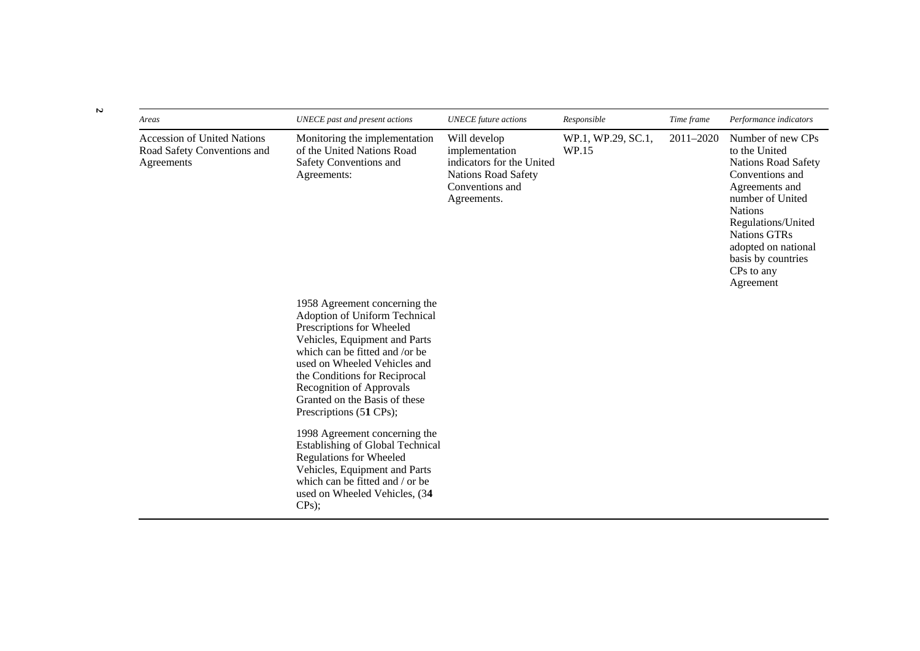| Areas                                                                           | UNECE past and present actions                                                                                                                                                                                                                                                                                                 | <b>UNECE</b> future actions                                                                                                 | Responsible                 | Time frame | Performance indicators                                                                                                                                                                                                                                           |
|---------------------------------------------------------------------------------|--------------------------------------------------------------------------------------------------------------------------------------------------------------------------------------------------------------------------------------------------------------------------------------------------------------------------------|-----------------------------------------------------------------------------------------------------------------------------|-----------------------------|------------|------------------------------------------------------------------------------------------------------------------------------------------------------------------------------------------------------------------------------------------------------------------|
| <b>Accession of United Nations</b><br>Road Safety Conventions and<br>Agreements | Monitoring the implementation<br>of the United Nations Road<br>Safety Conventions and<br>Agreements:                                                                                                                                                                                                                           | Will develop<br>implementation<br>indicators for the United<br><b>Nations Road Safety</b><br>Conventions and<br>Agreements. | WP.1, WP.29, SC.1,<br>WP.15 | 2011-2020  | Number of new CPs<br>to the United<br><b>Nations Road Safety</b><br>Conventions and<br>Agreements and<br>number of United<br><b>Nations</b><br>Regulations/United<br><b>Nations GTRs</b><br>adopted on national<br>basis by countries<br>CPs to any<br>Agreement |
|                                                                                 | 1958 Agreement concerning the<br>Adoption of Uniform Technical<br>Prescriptions for Wheeled<br>Vehicles, Equipment and Parts<br>which can be fitted and /or be<br>used on Wheeled Vehicles and<br>the Conditions for Reciprocal<br><b>Recognition of Approvals</b><br>Granted on the Basis of these<br>Prescriptions (51 CPs); |                                                                                                                             |                             |            |                                                                                                                                                                                                                                                                  |
|                                                                                 | 1998 Agreement concerning the<br><b>Establishing of Global Technical</b><br><b>Regulations for Wheeled</b><br>Vehicles, Equipment and Parts<br>which can be fitted and / or be<br>used on Wheeled Vehicles, (34<br>CPs);                                                                                                       |                                                                                                                             |                             |            |                                                                                                                                                                                                                                                                  |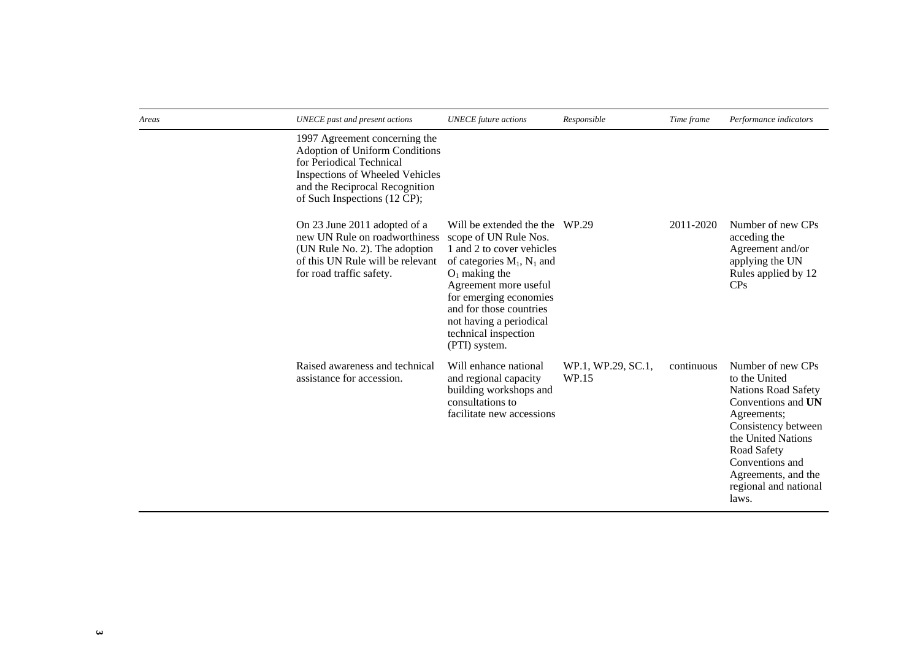| Areas | <b>UNECE</b> past and present actions                                                                                                                                                                          | <b>UNECE</b> future actions                                                                                                                                                                                                                                         | Responsible                 | Time frame | Performance indicators                                                                                                                                                                                                                        |
|-------|----------------------------------------------------------------------------------------------------------------------------------------------------------------------------------------------------------------|---------------------------------------------------------------------------------------------------------------------------------------------------------------------------------------------------------------------------------------------------------------------|-----------------------------|------------|-----------------------------------------------------------------------------------------------------------------------------------------------------------------------------------------------------------------------------------------------|
|       | 1997 Agreement concerning the<br><b>Adoption of Uniform Conditions</b><br>for Periodical Technical<br><b>Inspections of Wheeled Vehicles</b><br>and the Reciprocal Recognition<br>of Such Inspections (12 CP); |                                                                                                                                                                                                                                                                     |                             |            |                                                                                                                                                                                                                                               |
|       | On 23 June 2011 adopted of a<br>new UN Rule on roadworthiness scope of UN Rule Nos.<br>(UN Rule No. 2). The adoption<br>of this UN Rule will be relevant<br>for road traffic safety.                           | Will be extended the the WP.29<br>1 and 2 to cover vehicles<br>of categories $M_1$ , $N_1$ and<br>$O1$ making the<br>Agreement more useful<br>for emerging economies<br>and for those countries<br>not having a periodical<br>technical inspection<br>(PTI) system. |                             | 2011-2020  | Number of new CPs<br>acceding the<br>Agreement and/or<br>applying the UN<br>Rules applied by 12<br>CPs                                                                                                                                        |
|       | Raised awareness and technical<br>assistance for accession.                                                                                                                                                    | Will enhance national<br>and regional capacity<br>building workshops and<br>consultations to<br>facilitate new accessions                                                                                                                                           | WP.1, WP.29, SC.1,<br>WP.15 | continuous | Number of new CPs<br>to the United<br><b>Nations Road Safety</b><br>Conventions and UN<br>Agreements;<br>Consistency between<br>the United Nations<br>Road Safety<br>Conventions and<br>Agreements, and the<br>regional and national<br>laws. |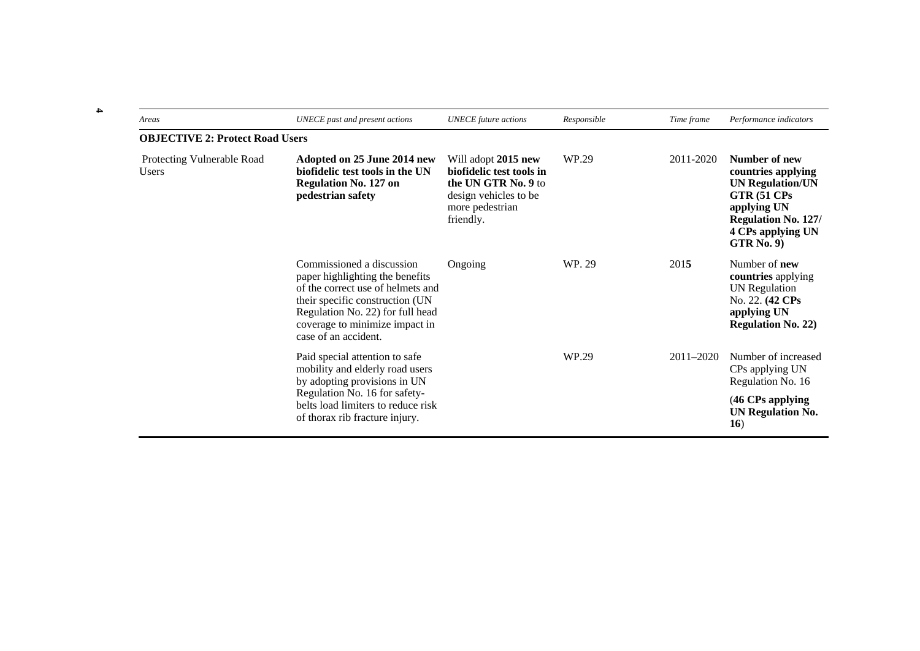| Areas                                      | UNECE past and present actions                                                                                                                                                                                                     | <b>UNECE</b> future actions                                                                                                     | Responsible | Time frame    | Performance indicators                                                                                                                                               |
|--------------------------------------------|------------------------------------------------------------------------------------------------------------------------------------------------------------------------------------------------------------------------------------|---------------------------------------------------------------------------------------------------------------------------------|-------------|---------------|----------------------------------------------------------------------------------------------------------------------------------------------------------------------|
| <b>OBJECTIVE 2: Protect Road Users</b>     |                                                                                                                                                                                                                                    |                                                                                                                                 |             |               |                                                                                                                                                                      |
| Protecting Vulnerable Road<br><b>Users</b> | Adopted on 25 June 2014 new<br>biofidelic test tools in the UN<br><b>Regulation No. 127 on</b><br>pedestrian safety                                                                                                                | Will adopt 2015 new<br>biofidelic test tools in<br>the UN GTR No. 9 to<br>design vehicles to be<br>more pedestrian<br>friendly. | WP.29       | 2011-2020     | Number of new<br>countries applying<br><b>UN Regulation/UN</b><br>GTR (51 CPs<br>applying UN<br><b>Regulation No. 127/</b><br>4 CPs applying UN<br><b>GTR</b> No. 9) |
|                                            | Commissioned a discussion<br>paper highlighting the benefits<br>of the correct use of helmets and<br>their specific construction (UN<br>Regulation No. 22) for full head<br>coverage to minimize impact in<br>case of an accident. | Ongoing                                                                                                                         | WP. 29      | 2015          | Number of <b>new</b><br>countries applying<br><b>UN</b> Regulation<br>No. 22. (42 CPs)<br>applying UN<br><b>Regulation No. 22)</b>                                   |
|                                            | Paid special attention to safe<br>mobility and elderly road users<br>by adopting provisions in UN                                                                                                                                  |                                                                                                                                 | WP.29       | $2011 - 2020$ | Number of increased<br>CPs applying UN<br>Regulation No. 16                                                                                                          |
|                                            | Regulation No. 16 for safety-<br>belts load limiters to reduce risk<br>of thorax rib fracture injury.                                                                                                                              |                                                                                                                                 |             |               | (46 CPs applying<br><b>UN Regulation No.</b><br>16)                                                                                                                  |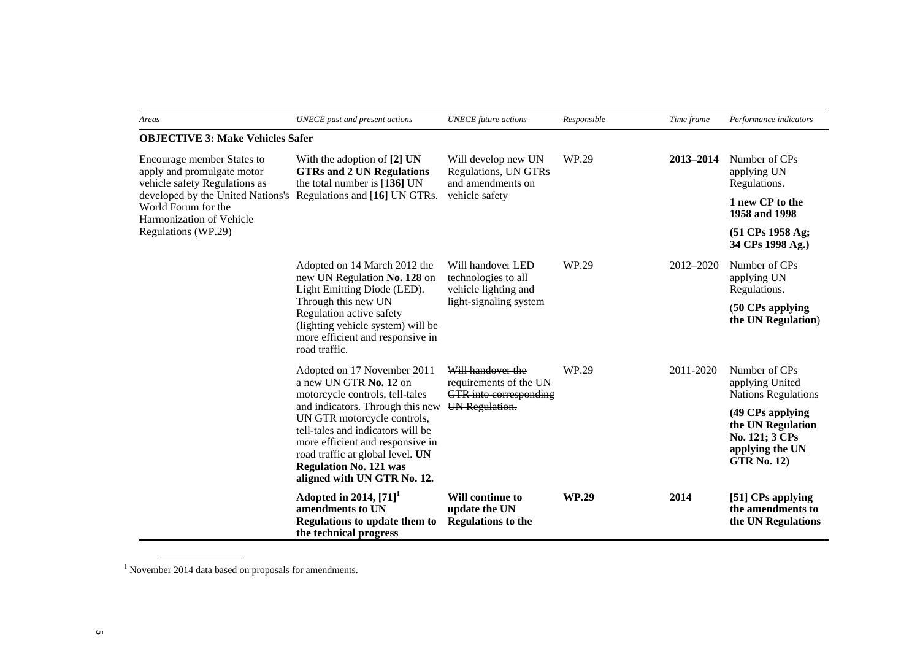| Areas                                                                                                              | <b>UNECE</b> past and present actions                                                                                                                                                                                                        | <b>UNECE</b> future actions                                                                | Responsible  | Time frame | Performance indicators                                                                           |
|--------------------------------------------------------------------------------------------------------------------|----------------------------------------------------------------------------------------------------------------------------------------------------------------------------------------------------------------------------------------------|--------------------------------------------------------------------------------------------|--------------|------------|--------------------------------------------------------------------------------------------------|
| <b>OBJECTIVE 3: Make Vehicles Safer</b>                                                                            |                                                                                                                                                                                                                                              |                                                                                            |              |            |                                                                                                  |
| Encourage member States to<br>apply and promulgate motor<br>vehicle safety Regulations as                          | With the adoption of [2] UN<br><b>GTRs and 2 UN Regulations</b><br>the total number is $[136]$ UN                                                                                                                                            | Will develop new UN<br>Regulations, UN GTRs<br>and amendments on                           | WP.29        | 2013-2014  | Number of CPs<br>applying UN<br>Regulations.                                                     |
| developed by the United Nations's Regulations and [16] UN GTRs.<br>World Forum for the<br>Harmonization of Vehicle |                                                                                                                                                                                                                                              | vehicle safety                                                                             |              |            | 1 new CP to the<br>1958 and 1998                                                                 |
| Regulations (WP.29)                                                                                                |                                                                                                                                                                                                                                              |                                                                                            |              |            | $(51 \text{ CPs } 1958 \text{ Ag};$<br>34 CPs 1998 Ag.)                                          |
|                                                                                                                    | Adopted on 14 March 2012 the<br>new UN Regulation No. 128 on<br>Light Emitting Diode (LED).<br>Through this new UN<br>Regulation active safety<br>(lighting vehicle system) will be<br>more efficient and responsive in<br>road traffic.     | Will handover LED<br>technologies to all<br>vehicle lighting and<br>light-signaling system | WP.29        | 2012-2020  | Number of CPs<br>applying UN<br>Regulations.                                                     |
|                                                                                                                    |                                                                                                                                                                                                                                              |                                                                                            |              |            | (50 CPs applying<br>the UN Regulation)                                                           |
|                                                                                                                    | Adopted on 17 November 2011<br>a new UN GTR No. 12 on<br>motorcycle controls, tell-tales                                                                                                                                                     | Will handover the<br>requirements of the UN<br>GTR into corresponding                      | WP.29        | 2011-2020  | Number of CPs<br>applying United<br><b>Nations Regulations</b>                                   |
|                                                                                                                    | and indicators. Through this new<br>UN GTR motorcycle controls,<br>tell-tales and indicators will be<br>more efficient and responsive in<br>road traffic at global level. UN<br><b>Regulation No. 121 was</b><br>aligned with UN GTR No. 12. | UN Regulation.                                                                             |              |            | (49 CPs applying<br>the UN Regulation<br>No. 121; 3 CPs<br>applying the UN<br><b>GTR No. 12)</b> |
|                                                                                                                    | Adopted in 2014, $[71]$ <sup>1</sup><br>amendments to UN<br>Regulations to update them to<br>the technical progress                                                                                                                          | <b>Will continue to</b><br>update the UN<br><b>Regulations to the</b>                      | <b>WP.29</b> | 2014       | [51] CPs applying<br>the amendments to<br>the UN Regulations                                     |

 $^{\rm 1}$  November 2014 data based on proposals for amendments.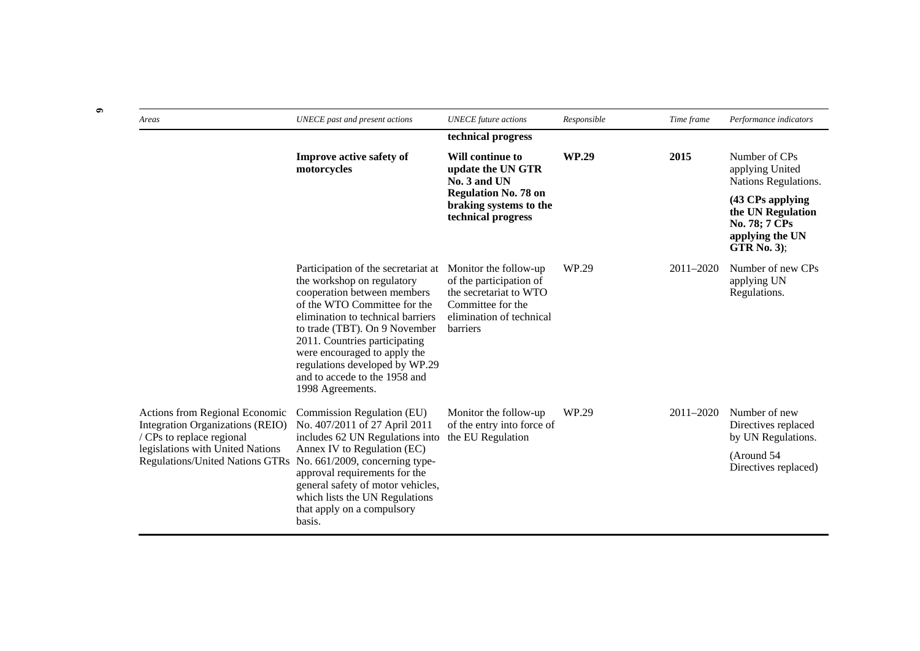| Areas                                                                                           | <b>UNECE</b> past and present actions                                                                                                                                                                                                                                                                                                                          | <b>UNECE</b> future actions                                                                                                             | Responsible  | Time frame | Performance indicators                                                                          |  |
|-------------------------------------------------------------------------------------------------|----------------------------------------------------------------------------------------------------------------------------------------------------------------------------------------------------------------------------------------------------------------------------------------------------------------------------------------------------------------|-----------------------------------------------------------------------------------------------------------------------------------------|--------------|------------|-------------------------------------------------------------------------------------------------|--|
|                                                                                                 |                                                                                                                                                                                                                                                                                                                                                                | technical progress                                                                                                                      |              |            |                                                                                                 |  |
|                                                                                                 | <b>Improve active safety of</b><br>motorcycles                                                                                                                                                                                                                                                                                                                 | <b>Will continue to</b><br>update the UN GTR<br>No. 3 and UN                                                                            | <b>WP.29</b> | 2015       | Number of CPs<br>applying United<br>Nations Regulations.                                        |  |
|                                                                                                 |                                                                                                                                                                                                                                                                                                                                                                | <b>Regulation No. 78 on</b><br>braking systems to the<br>technical progress                                                             |              |            | (43 CPs applying<br>the UN Regulation<br>No. 78; 7 CPs<br>applying the UN<br><b>GTR</b> No. 3); |  |
|                                                                                                 | Participation of the secretariat at<br>the workshop on regulatory<br>cooperation between members<br>of the WTO Committee for the<br>elimination to technical barriers<br>to trade (TBT). On 9 November<br>2011. Countries participating<br>were encouraged to apply the<br>regulations developed by WP.29<br>and to accede to the 1958 and<br>1998 Agreements. | Monitor the follow-up<br>of the participation of<br>the secretariat to WTO<br>Committee for the<br>elimination of technical<br>barriers | WP.29        | 2011-2020  | Number of new CPs<br>applying UN<br>Regulations.                                                |  |
| Actions from Regional Economic<br>Integration Organizations (REIO)<br>/ CPs to replace regional | Commission Regulation (EU)<br>No. 407/2011 of 27 April 2011<br>includes 62 UN Regulations into                                                                                                                                                                                                                                                                 | Monitor the follow-up<br>of the entry into force of<br>the EU Regulation                                                                | WP.29        | 2011-2020  | Number of new<br>Directives replaced<br>by UN Regulations.                                      |  |
| legislations with United Nations<br><b>Regulations/United Nations GTRs</b>                      | Annex IV to Regulation (EC)<br>No. 661/2009, concerning type-<br>approval requirements for the<br>general safety of motor vehicles,<br>which lists the UN Regulations<br>that apply on a compulsory<br>basis.                                                                                                                                                  |                                                                                                                                         |              |            | (Around 54)<br>Directives replaced)                                                             |  |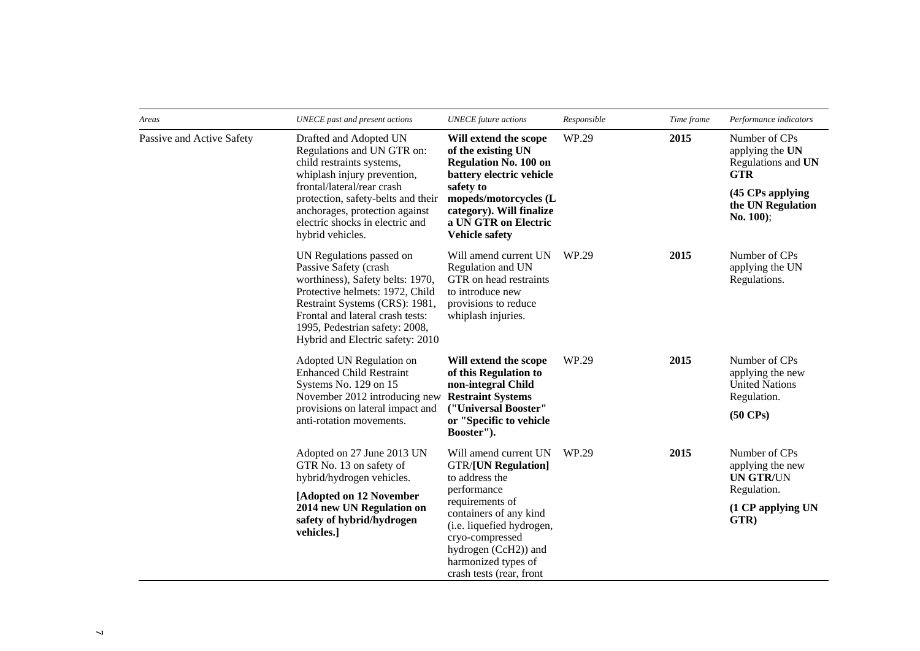| Areas                     | UNECE past and present actions                                                                                                                                                                                                                                       | <b>UNECE</b> future actions                                                                                                                                                                                                                                  | Responsible | Time frame | Performance indicators                                                                                                     |
|---------------------------|----------------------------------------------------------------------------------------------------------------------------------------------------------------------------------------------------------------------------------------------------------------------|--------------------------------------------------------------------------------------------------------------------------------------------------------------------------------------------------------------------------------------------------------------|-------------|------------|----------------------------------------------------------------------------------------------------------------------------|
| Passive and Active Safety | Drafted and Adopted UN<br>Regulations and UN GTR on:<br>child restraints systems,<br>whiplash injury prevention,<br>frontal/lateral/rear crash<br>protection, safety-belts and their<br>anchorages, protection against<br>electric shocks in electric and            | Will extend the scope<br>of the existing UN<br><b>Regulation No. 100 on</b><br>battery electric vehicle<br>safety to<br>mopeds/motorcycles (L<br>category). Will finalize<br>a UN GTR on Electric                                                            | WP.29       | 2015       | Number of CPs<br>applying the UN<br>Regulations and UN<br><b>GTR</b><br>(45 CPs applying<br>the UN Regulation<br>No. 100); |
|                           | hybrid vehicles.                                                                                                                                                                                                                                                     | <b>Vehicle safety</b>                                                                                                                                                                                                                                        |             |            |                                                                                                                            |
|                           | UN Regulations passed on<br>Passive Safety (crash<br>worthiness), Safety belts: 1970,<br>Protective helmets: 1972, Child<br>Restraint Systems (CRS): 1981,<br>Frontal and lateral crash tests:<br>1995, Pedestrian safety: 2008,<br>Hybrid and Electric safety: 2010 | Will amend current UN<br>Regulation and UN<br>GTR on head restraints<br>to introduce new<br>provisions to reduce<br>whiplash injuries.                                                                                                                       | WP.29       | 2015       | Number of CPs<br>applying the UN<br>Regulations.                                                                           |
|                           | Adopted UN Regulation on<br><b>Enhanced Child Restraint</b><br>Systems No. 129 on 15<br>November 2012 introducing new                                                                                                                                                | Will extend the scope<br>of this Regulation to<br>non-integral Child<br><b>Restraint Systems</b>                                                                                                                                                             | WP.29       | 2015       | Number of CPs<br>applying the new<br><b>United Nations</b><br>Regulation.                                                  |
|                           | provisions on lateral impact and<br>anti-rotation movements.                                                                                                                                                                                                         | ("Universal Booster"<br>or "Specific to vehicle<br>Booster").                                                                                                                                                                                                |             |            | $(50 \text{ CPs})$                                                                                                         |
|                           | Adopted on 27 June 2013 UN<br>GTR No. 13 on safety of<br>hybrid/hydrogen vehicles.                                                                                                                                                                                   | Will amend current UN<br><b>GTR/[UN Regulation]</b><br>to address the<br>performance<br>requirements of<br>containers of any kind<br>(i.e. liquefied hydrogen,<br>cryo-compressed<br>hydrogen (CcH2)) and<br>harmonized types of<br>crash tests (rear, front | WP.29       | 2015       | Number of CPs<br>applying the new<br><b>UN GTR/UN</b>                                                                      |
|                           | [Adopted on 12 November<br>2014 new UN Regulation on<br>safety of hybrid/hydrogen<br>vehicles.]                                                                                                                                                                      |                                                                                                                                                                                                                                                              |             |            | Regulation.<br>(1 CP applying UN<br>GTR)                                                                                   |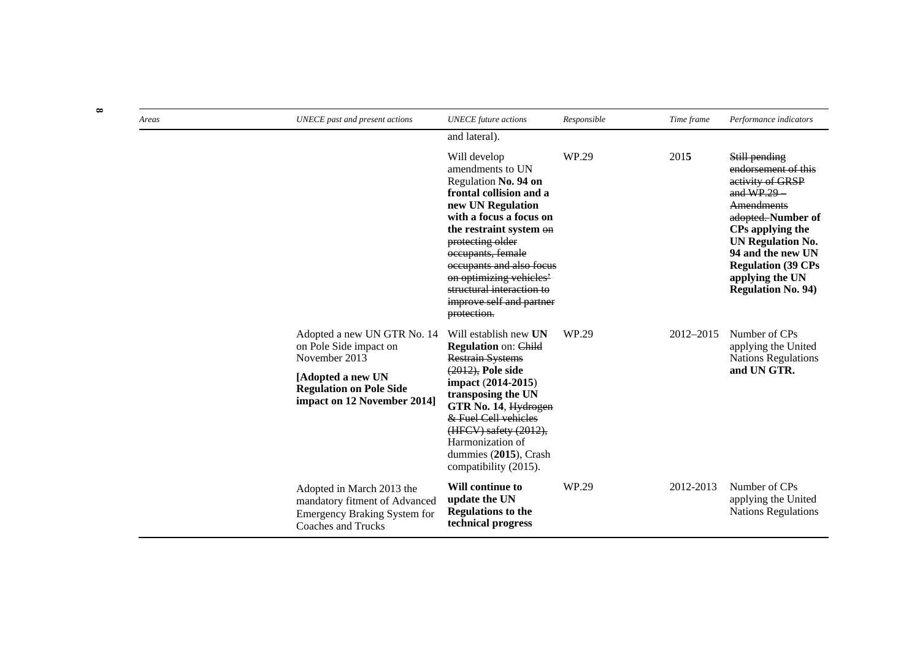| Areas | UNECE past and present actions                                                                                                                               | <b>UNECE</b> future actions                                                                                                                                                                                                                                                                                                            | Responsible | Time frame | Performance indicators                                                                                                                                                                                                                                                |
|-------|--------------------------------------------------------------------------------------------------------------------------------------------------------------|----------------------------------------------------------------------------------------------------------------------------------------------------------------------------------------------------------------------------------------------------------------------------------------------------------------------------------------|-------------|------------|-----------------------------------------------------------------------------------------------------------------------------------------------------------------------------------------------------------------------------------------------------------------------|
|       |                                                                                                                                                              | and lateral).                                                                                                                                                                                                                                                                                                                          |             |            |                                                                                                                                                                                                                                                                       |
|       |                                                                                                                                                              | Will develop<br>amendments to UN<br>Regulation No. 94 on<br>frontal collision and a<br>new UN Regulation<br>with a focus a focus on<br>the restraint system on<br>protecting older<br>occupants, female<br>occupants and also focus<br>on optimizing vehicles'<br>structural interaction to<br>improve self and partner<br>protection. | WP.29       | 2015       | Still pending<br>endorsement of this<br>activity of GRSP<br>and $WP.29$<br><b>Amendments</b><br>adopted. Number of<br>CPs applying the<br><b>UN Regulation No.</b><br>94 and the new UN<br><b>Regulation (39 CPs)</b><br>applying the UN<br><b>Regulation No. 94)</b> |
|       | Adopted a new UN GTR No. 14<br>on Pole Side impact on<br>November 2013<br>[Adopted a new UN<br><b>Regulation on Pole Side</b><br>impact on 12 November 2014] | Will establish new UN<br>Regulation on: Child<br><b>Restrain Systems</b><br>$(2012)$ , Pole side<br>impact (2014-2015)<br>transposing the UN<br>GTR No. 14, Hydrogen<br>& Fuel Cell vehicles<br>(HFCV) safety (2012),<br>Harmonization of<br>dummies (2015), Crash<br>compatibility (2015).                                            | WP.29       | 2012-2015  | Number of CPs<br>applying the United<br><b>Nations Regulations</b><br>and UN GTR.                                                                                                                                                                                     |
|       | Adopted in March 2013 the<br>mandatory fitment of Advanced<br><b>Emergency Braking System for</b><br>Coaches and Trucks                                      | Will continue to<br>update the UN<br><b>Regulations to the</b><br>technical progress                                                                                                                                                                                                                                                   | WP.29       | 2012-2013  | Number of CPs<br>applying the United<br><b>Nations Regulations</b>                                                                                                                                                                                                    |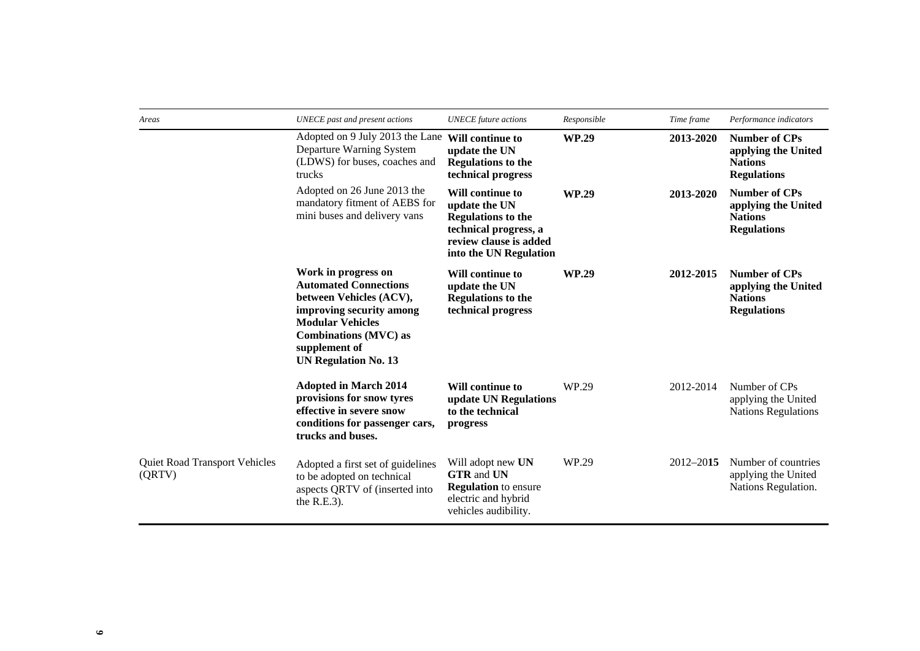| Areas                                   | UNECE past and present actions                                                                                                                                                                                        | <b>UNECE</b> future actions                                                                                                                        | Responsible  | Time frame | Performance indicators                                                              |
|-----------------------------------------|-----------------------------------------------------------------------------------------------------------------------------------------------------------------------------------------------------------------------|----------------------------------------------------------------------------------------------------------------------------------------------------|--------------|------------|-------------------------------------------------------------------------------------|
|                                         | Adopted on 9 July 2013 the Lane Will continue to<br>Departure Warning System<br>(LDWS) for buses, coaches and<br>trucks                                                                                               | update the UN<br><b>Regulations to the</b><br>technical progress                                                                                   | <b>WP.29</b> | 2013-2020  | <b>Number of CPs</b><br>applying the United<br><b>Nations</b><br><b>Regulations</b> |
|                                         | Adopted on 26 June 2013 the<br>mandatory fitment of AEBS for<br>mini buses and delivery vans                                                                                                                          | <b>Will continue to</b><br>update the UN<br><b>Regulations to the</b><br>technical progress, a<br>review clause is added<br>into the UN Regulation | <b>WP.29</b> | 2013-2020  | <b>Number of CPs</b><br>applying the United<br><b>Nations</b><br><b>Regulations</b> |
|                                         | Work in progress on<br><b>Automated Connections</b><br>between Vehicles (ACV),<br>improving security among<br><b>Modular Vehicles</b><br><b>Combinations (MVC) as</b><br>supplement of<br><b>UN Regulation No. 13</b> | Will continue to<br>update the UN<br><b>Regulations to the</b><br>technical progress                                                               | <b>WP.29</b> | 2012-2015  | <b>Number of CPs</b><br>applying the United<br><b>Nations</b><br><b>Regulations</b> |
|                                         | <b>Adopted in March 2014</b><br>provisions for snow tyres<br>effective in severe snow<br>conditions for passenger cars,<br>trucks and buses.                                                                          | <b>Will continue to</b><br>update UN Regulations<br>to the technical<br>progress                                                                   | WP.29        | 2012-2014  | Number of CPs<br>applying the United<br><b>Nations Regulations</b>                  |
| Quiet Road Transport Vehicles<br>(QRTV) | Adopted a first set of guidelines<br>to be adopted on technical<br>aspects QRTV of (inserted into<br>the $R.E.3$ ).                                                                                                   | Will adopt new UN<br><b>GTR</b> and <b>UN</b><br><b>Regulation</b> to ensure<br>electric and hybrid<br>vehicles audibility.                        | WP.29        | 2012-2015  | Number of countries<br>applying the United<br>Nations Regulation.                   |